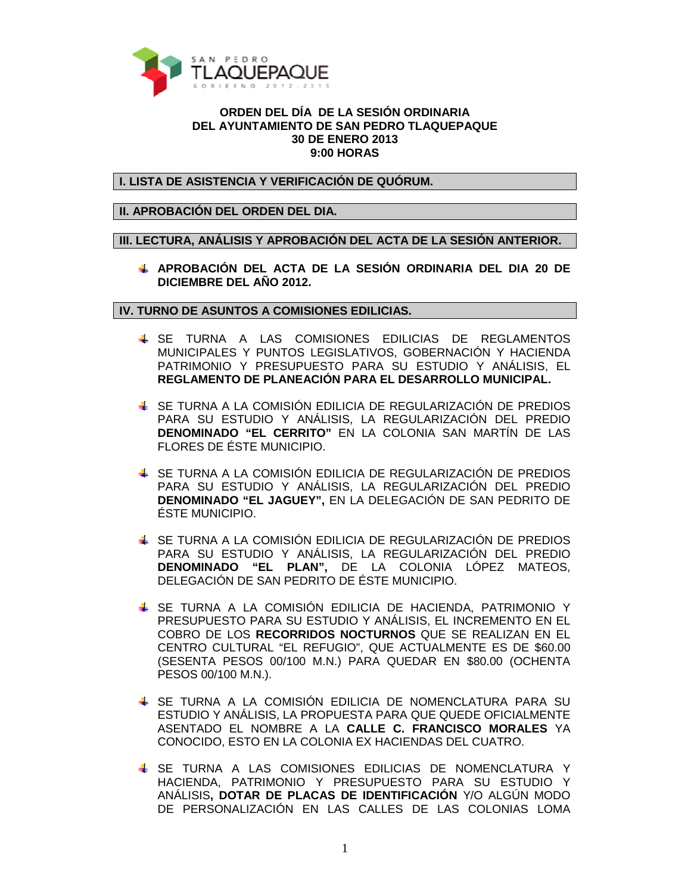

## **ORDEN DEL DÍA DE LA SESIÓN ORDINARIA DEL AYUNTAMIENTO DE SAN PEDRO TLAQUEPAQUE 30 DE ENERO 2013 9:00 HORAS**

**I. LISTA DE ASISTENCIA Y VERIFICACIÓN DE QUÓRUM.** 

## **II. APROBACIÓN DEL ORDEN DEL DIA.**

**III. LECTURA, ANÁLISIS Y APROBACIÓN DEL ACTA DE LA SESIÓN ANTERIOR.** 

**APROBACIÓN DEL ACTA DE LA SESIÓN ORDINARIA DEL DIA 20 DE DICIEMBRE DEL AÑO 2012.** 

**IV. TURNO DE ASUNTOS A COMISIONES EDILICIAS.** 

- **&** SE TURNA A LAS COMISIONES EDILICIAS DE REGLAMENTOS MUNICIPALES Y PUNTOS LEGISLATIVOS, GOBERNACIÓN Y HACIENDA PATRIMONIO Y PRESUPUESTO PARA SU ESTUDIO Y ANÁLISIS, EL **REGLAMENTO DE PLANEACIÓN PARA EL DESARROLLO MUNICIPAL.**
- SE TURNA A LA COMISIÓN EDILICIA DE REGULARIZACIÓN DE PREDIOS PARA SU ESTUDIO Y ANÁLISIS, LA REGULARIZACIÓN DEL PREDIO **DENOMINADO "EL CERRITO"** EN LA COLONIA SAN MARTÍN DE LAS FLORES DE ÉSTE MUNICIPIO.
- SE TURNA A LA COMISIÓN EDILICIA DE REGULARIZACIÓN DE PREDIOS PARA SU ESTUDIO Y ANÁLISIS, LA REGULARIZACIÓN DEL PREDIO **DENOMINADO "EL JAGUEY",** EN LA DELEGACIÓN DE SAN PEDRITO DE ÉSTE MUNICIPIO.
- SE TURNA A LA COMISIÓN EDILICIA DE REGULARIZACIÓN DE PREDIOS PARA SU ESTUDIO Y ANÁLISIS, LA REGULARIZACIÓN DEL PREDIO **DENOMINADO "EL PLAN",** DE LA COLONIA LÓPEZ MATEOS, DELEGACIÓN DE SAN PEDRITO DE ÉSTE MUNICIPIO.
- SE TURNA A LA COMISIÓN EDILICIA DE HACIENDA, PATRIMONIO Y PRESUPUESTO PARA SU ESTUDIO Y ANÁLISIS, EL INCREMENTO EN EL COBRO DE LOS **RECORRIDOS NOCTURNOS** QUE SE REALIZAN EN EL CENTRO CULTURAL "EL REFUGIO", QUE ACTUALMENTE ES DE \$60.00 (SESENTA PESOS 00/100 M.N.) PARA QUEDAR EN \$80.00 (OCHENTA PESOS 00/100 M.N.).
- SE TURNA A LA COMISIÓN EDILICIA DE NOMENCLATURA PARA SU ESTUDIO Y ANÁLISIS, LA PROPUESTA PARA QUE QUEDE OFICIALMENTE ASENTADO EL NOMBRE A LA **CALLE C. FRANCISCO MORALES** YA CONOCIDO, ESTO EN LA COLONIA EX HACIENDAS DEL CUATRO.
- SE TURNA A LAS COMISIONES EDILICIAS DE NOMENCLATURA Y HACIENDA, PATRIMONIO Y PRESUPUESTO PARA SU ESTUDIO Y ANÁLISIS**, DOTAR DE PLACAS DE IDENTIFICACIÓN** Y/O ALGÚN MODO DE PERSONALIZACIÓN EN LAS CALLES DE LAS COLONIAS LOMA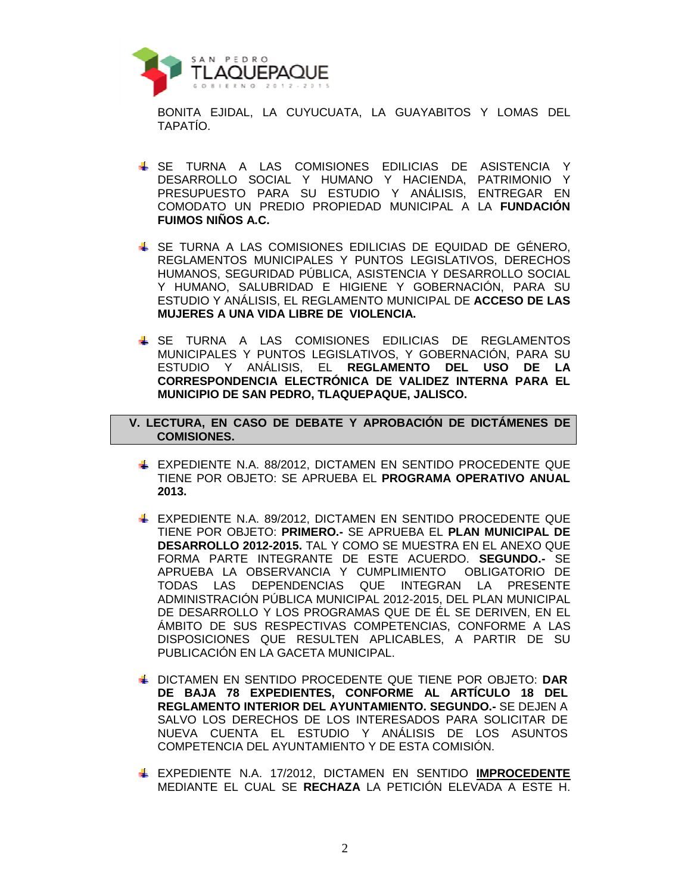

BONITA EJIDAL, LA CUYUCUATA, LA GUAYABITOS Y LOMAS DEL TAPATÍO.

- SE TURNA A LAS COMISIONES EDILICIAS DE ASISTENCIA Y DESARROLLO SOCIAL Y HUMANO Y HACIENDA, PATRIMONIO Y PRESUPUESTO PARA SU ESTUDIO Y ANÁLISIS, ENTREGAR EN COMODATO UN PREDIO PROPIEDAD MUNICIPAL A LA **FUNDACIÓN FUIMOS NIÑOS A.C.**
- SE TURNA A LAS COMISIONES EDILICIAS DE EQUIDAD DE GÉNERO, REGLAMENTOS MUNICIPALES Y PUNTOS LEGISLATIVOS, DERECHOS HUMANOS, SEGURIDAD PÚBLICA, ASISTENCIA Y DESARROLLO SOCIAL Y HUMANO, SALUBRIDAD E HIGIENE Y GOBERNACIÓN, PARA SU ESTUDIO Y ANÁLISIS, EL REGLAMENTO MUNICIPAL DE **ACCESO DE LAS MUJERES A UNA VIDA LIBRE DE VIOLENCIA.**
- SE TURNA A LAS COMISIONES EDILICIAS DE REGLAMENTOS MUNICIPALES Y PUNTOS LEGISLATIVOS, Y GOBERNACIÓN, PARA SU ESTUDIO Y ANÁLISIS, EL **REGLAMENTO DEL USO DE LA CORRESPONDENCIA ELECTRÓNICA DE VALIDEZ INTERNA PARA EL MUNICIPIO DE SAN PEDRO, TLAQUEPAQUE, JALISCO.**
- **V. LECTURA, EN CASO DE DEBATE Y APROBACIÓN DE DICTÁMENES DE COMISIONES.** 
	- EXPEDIENTE N.A. 88/2012, DICTAMEN EN SENTIDO PROCEDENTE QUE TIENE POR OBJETO: SE APRUEBA EL **PROGRAMA OPERATIVO ANUAL 2013.**
	- **EXPEDIENTE N.A. 89/2012, DICTAMEN EN SENTIDO PROCEDENTE QUE** TIENE POR OBJETO: **PRIMERO.-** SE APRUEBA EL **PLAN MUNICIPAL DE DESARROLLO 2012-2015.** TAL Y COMO SE MUESTRA EN EL ANEXO QUE FORMA PARTE INTEGRANTE DE ESTE ACUERDO. **SEGUNDO.-** SE APRUEBA LA OBSERVANCIA Y CUMPLIMIENTO OBLIGATORIO DE TODAS LAS DEPENDENCIAS QUE INTEGRAN LA PRESENTE ADMINISTRACIÓN PÚBLICA MUNICIPAL 2012-2015, DEL PLAN MUNICIPAL DE DESARROLLO Y LOS PROGRAMAS QUE DE ÉL SE DERIVEN, EN EL ÁMBITO DE SUS RESPECTIVAS COMPETENCIAS, CONFORME A LAS DISPOSICIONES QUE RESULTEN APLICABLES, A PARTIR DE SU PUBLICACIÓN EN LA GACETA MUNICIPAL.
	- DICTAMEN EN SENTIDO PROCEDENTE QUE TIENE POR OBJETO: **DAR DE BAJA 78 EXPEDIENTES, CONFORME AL ARTÍCULO 18 DEL REGLAMENTO INTERIOR DEL AYUNTAMIENTO. SEGUNDO.-** SE DEJEN A SALVO LOS DERECHOS DE LOS INTERESADOS PARA SOLICITAR DE NUEVA CUENTA EL ESTUDIO Y ANÁLISIS DE LOS ASUNTOS COMPETENCIA DEL AYUNTAMIENTO Y DE ESTA COMISIÓN.
	- EXPEDIENTE N.A. 17/2012, DICTAMEN EN SENTIDO **IMPROCEDENTE** MEDIANTE EL CUAL SE **RECHAZA** LA PETICIÓN ELEVADA A ESTE H.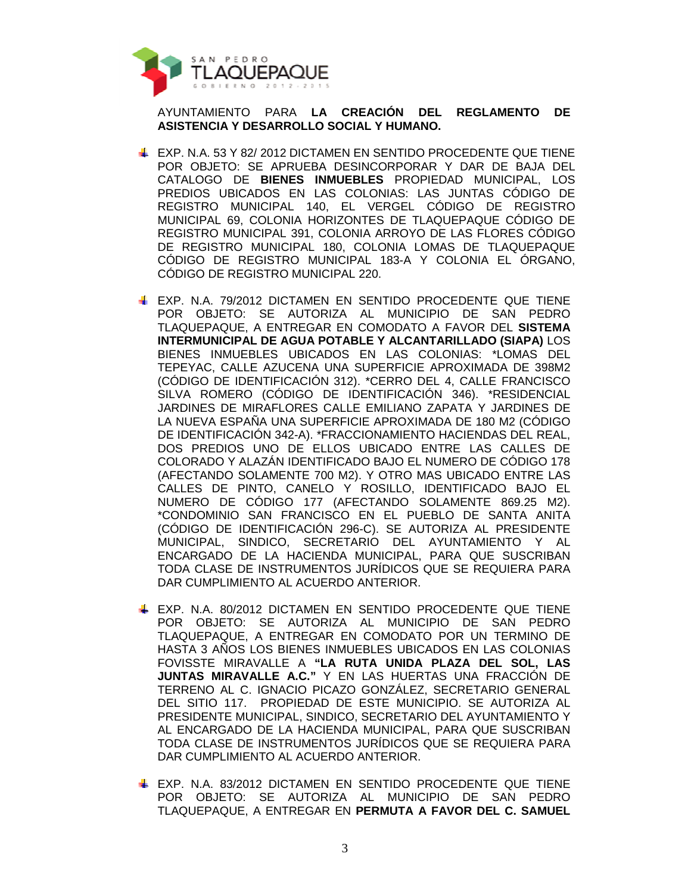

AYUNTAMIENTO PARA **LA CREACIÓN DEL REGLAMENTO DE ASISTENCIA Y DESARROLLO SOCIAL Y HUMANO.**

- EXP. N.A. 53 Y 82/ 2012 DICTAMEN EN SENTIDO PROCEDENTE QUE TIENE POR OBJETO: SE APRUEBA DESINCORPORAR Y DAR DE BAJA DEL CATALOGO DE **BIENES INMUEBLES** PROPIEDAD MUNICIPAL, LOS PREDIOS UBICADOS EN LAS COLONIAS: LAS JUNTAS CÓDIGO DE REGISTRO MUNICIPAL 140, EL VERGEL CÓDIGO DE REGISTRO MUNICIPAL 69, COLONIA HORIZONTES DE TLAQUEPAQUE CÓDIGO DE REGISTRO MUNICIPAL 391, COLONIA ARROYO DE LAS FLORES CÓDIGO DE REGISTRO MUNICIPAL 180, COLONIA LOMAS DE TLAQUEPAQUE CÓDIGO DE REGISTRO MUNICIPAL 183-A Y COLONIA EL ÓRGANO, CÓDIGO DE REGISTRO MUNICIPAL 220.
- EXP. N.A. 79/2012 DICTAMEN EN SENTIDO PROCEDENTE QUE TIENE POR OBJETO: SE AUTORIZA AL MUNICIPIO DE SAN PEDRO TLAQUEPAQUE, A ENTREGAR EN COMODATO A FAVOR DEL **SISTEMA INTERMUNICIPAL DE AGUA POTABLE Y ALCANTARILLADO (SIAPA)** LOS BIENES INMUEBLES UBICADOS EN LAS COLONIAS: \*LOMAS DEL TEPEYAC, CALLE AZUCENA UNA SUPERFICIE APROXIMADA DE 398M2 (CÓDIGO DE IDENTIFICACIÓN 312). \*CERRO DEL 4, CALLE FRANCISCO SILVA ROMERO (CÓDIGO DE IDENTIFICACIÓN 346). \*RESIDENCIAL JARDINES DE MIRAFLORES CALLE EMILIANO ZAPATA Y JARDINES DE LA NUEVA ESPAÑA UNA SUPERFICIE APROXIMADA DE 180 M2 (CÓDIGO DE IDENTIFICACIÓN 342-A). \*FRACCIONAMIENTO HACIENDAS DEL REAL, DOS PREDIOS UNO DE ELLOS UBICADO ENTRE LAS CALLES DE COLORADO Y ALAZÁN IDENTIFICADO BAJO EL NUMERO DE CÓDIGO 178 (AFECTANDO SOLAMENTE 700 M2). Y OTRO MAS UBICADO ENTRE LAS CALLES DE PINTO, CANELO Y ROSILLO, IDENTIFICADO BAJO EL NUMERO DE CÓDIGO 177 (AFECTANDO SOLAMENTE 869.25 M2). \*CONDOMINIO SAN FRANCISCO EN EL PUEBLO DE SANTA ANITA (CÓDIGO DE IDENTIFICACIÓN 296-C). SE AUTORIZA AL PRESIDENTE MUNICIPAL, SINDICO, SECRETARIO DEL AYUNTAMIENTO Y AL ENCARGADO DE LA HACIENDA MUNICIPAL, PARA QUE SUSCRIBAN TODA CLASE DE INSTRUMENTOS JURÍDICOS QUE SE REQUIERA PARA DAR CUMPLIMIENTO AL ACUERDO ANTERIOR.
- **EXP. N.A. 80/2012 DICTAMEN EN SENTIDO PROCEDENTE QUE TIENE** POR OBJETO: SE AUTORIZA AL MUNICIPIO DE SAN PEDRO TLAQUEPAQUE, A ENTREGAR EN COMODATO POR UN TERMINO DE HASTA 3 AÑOS LOS BIENES INMUEBLES UBICADOS EN LAS COLONIAS FOVISSTE MIRAVALLE A **"LA RUTA UNIDA PLAZA DEL SOL, LAS JUNTAS MIRAVALLE A.C."** Y EN LAS HUERTAS UNA FRACCIÓN DE TERRENO AL C. IGNACIO PICAZO GONZÁLEZ, SECRETARIO GENERAL DEL SITIO 117. PROPIEDAD DE ESTE MUNICIPIO. SE AUTORIZA AL PRESIDENTE MUNICIPAL, SINDICO, SECRETARIO DEL AYUNTAMIENTO Y AL ENCARGADO DE LA HACIENDA MUNICIPAL, PARA QUE SUSCRIBAN TODA CLASE DE INSTRUMENTOS JURÍDICOS QUE SE REQUIERA PARA DAR CUMPLIMIENTO AL ACUERDO ANTERIOR.
- **EXP. N.A. 83/2012 DICTAMEN EN SENTIDO PROCEDENTE QUE TIENE** POR OBJETO: SE AUTORIZA AL MUNICIPIO DE SAN PEDRO TLAQUEPAQUE, A ENTREGAR EN **PERMUTA A FAVOR DEL C. SAMUEL**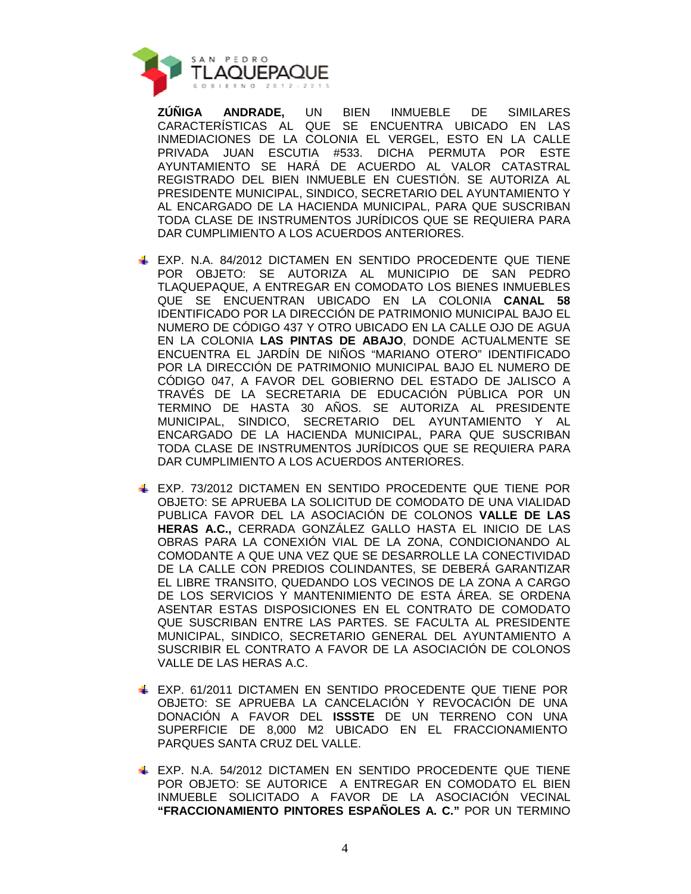

**ZÚÑIGA ANDRADE,** UN BIEN INMUEBLE DE SIMILARES CARACTERÍSTICAS AL QUE SE ENCUENTRA UBICADO EN LAS INMEDIACIONES DE LA COLONIA EL VERGEL, ESTO EN LA CALLE PRIVADA JUAN ESCUTIA #533. DICHA PERMUTA POR ESTE AYUNTAMIENTO SE HARÁ DE ACUERDO AL VALOR CATASTRAL REGISTRADO DEL BIEN INMUEBLE EN CUESTIÓN. SE AUTORIZA AL PRESIDENTE MUNICIPAL, SINDICO, SECRETARIO DEL AYUNTAMIENTO Y AL ENCARGADO DE LA HACIENDA MUNICIPAL, PARA QUE SUSCRIBAN TODA CLASE DE INSTRUMENTOS JURÍDICOS QUE SE REQUIERA PARA DAR CUMPLIMIENTO A LOS ACUERDOS ANTERIORES.

- EXP. N.A. 84/2012 DICTAMEN EN SENTIDO PROCEDENTE QUE TIENE POR OBJETO: SE AUTORIZA AL MUNICIPIO DE SAN PEDRO TLAQUEPAQUE, A ENTREGAR EN COMODATO LOS BIENES INMUEBLES QUE SE ENCUENTRAN UBICADO EN LA COLONIA **CANAL 58** IDENTIFICADO POR LA DIRECCIÓN DE PATRIMONIO MUNICIPAL BAJO EL NUMERO DE CÓDIGO 437 Y OTRO UBICADO EN LA CALLE OJO DE AGUA EN LA COLONIA **LAS PINTAS DE ABAJO**, DONDE ACTUALMENTE SE ENCUENTRA EL JARDÍN DE NIÑOS "MARIANO OTERO" IDENTIFICADO POR LA DIRECCIÓN DE PATRIMONIO MUNICIPAL BAJO EL NUMERO DE CÓDIGO 047, A FAVOR DEL GOBIERNO DEL ESTADO DE JALISCO A TRAVÉS DE LA SECRETARIA DE EDUCACIÓN PÚBLICA POR UN TERMINO DE HASTA 30 AÑOS. SE AUTORIZA AL PRESIDENTE MUNICIPAL, SINDICO, SECRETARIO DEL AYUNTAMIENTO Y AL ENCARGADO DE LA HACIENDA MUNICIPAL, PARA QUE SUSCRIBAN TODA CLASE DE INSTRUMENTOS JURÍDICOS QUE SE REQUIERA PARA DAR CUMPLIMIENTO A LOS ACUERDOS ANTERIORES.
- EXP. 73/2012 DICTAMEN EN SENTIDO PROCEDENTE QUE TIENE POR OBJETO: SE APRUEBA LA SOLICITUD DE COMODATO DE UNA VIALIDAD PUBLICA FAVOR DEL LA ASOCIACIÓN DE COLONOS **VALLE DE LAS HERAS A.C.,** CERRADA GONZÁLEZ GALLO HASTA EL INICIO DE LAS OBRAS PARA LA CONEXIÓN VIAL DE LA ZONA, CONDICIONANDO AL COMODANTE A QUE UNA VEZ QUE SE DESARROLLE LA CONECTIVIDAD DE LA CALLE CON PREDIOS COLINDANTES, SE DEBERÁ GARANTIZAR EL LIBRE TRANSITO, QUEDANDO LOS VECINOS DE LA ZONA A CARGO DE LOS SERVICIOS Y MANTENIMIENTO DE ESTA ÁREA. SE ORDENA ASENTAR ESTAS DISPOSICIONES EN EL CONTRATO DE COMODATO QUE SUSCRIBAN ENTRE LAS PARTES. SE FACULTA AL PRESIDENTE MUNICIPAL, SINDICO, SECRETARIO GENERAL DEL AYUNTAMIENTO A SUSCRIBIR EL CONTRATO A FAVOR DE LA ASOCIACIÓN DE COLONOS VALLE DE LAS HERAS A.C.
- **EXP. 61/2011 DICTAMEN EN SENTIDO PROCEDENTE QUE TIENE POR** OBJETO: SE APRUEBA LA CANCELACIÓN Y REVOCACIÓN DE UNA DONACIÓN A FAVOR DEL **ISSSTE** DE UN TERRENO CON UNA SUPERFICIE DE 8,000 M2 UBICADO EN EL FRACCIONAMIENTO PARQUES SANTA CRUZ DEL VALLE.
- **EXP. N.A. 54/2012 DICTAMEN EN SENTIDO PROCEDENTE QUE TIENE** POR OBJETO: SE AUTORICE A ENTREGAR EN COMODATO EL BIEN INMUEBLE SOLICITADO A FAVOR DE LA ASOCIACIÓN VECINAL **"FRACCIONAMIENTO PINTORES ESPAÑOLES A. C."** POR UN TERMINO